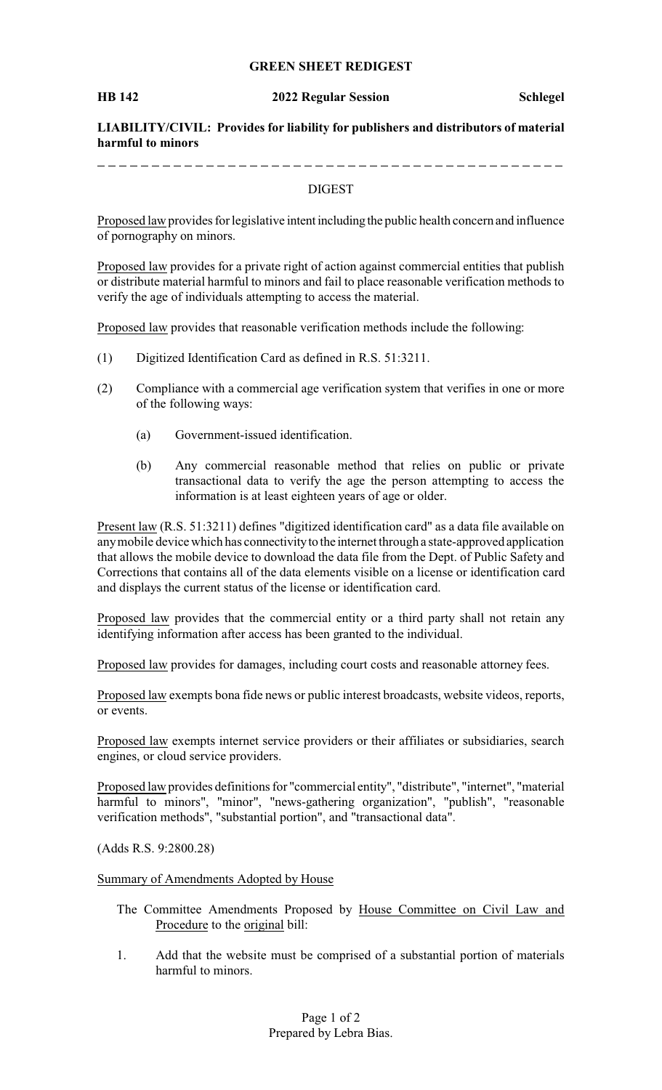# **GREEN SHEET REDIGEST**

### **HB 142 2022 Regular Session Schlegel**

**LIABILITY/CIVIL: Provides for liability for publishers and distributors of material harmful to minors**

----------

## DIGEST

Proposed law provides for legislative intent including the public health concern and influence of pornography on minors.

Proposed law provides for a private right of action against commercial entities that publish or distribute material harmful to minors and fail to place reasonable verification methods to verify the age of individuals attempting to access the material.

Proposed law provides that reasonable verification methods include the following:

- (1) Digitized Identification Card as defined in R.S. 51:3211.
- (2) Compliance with a commercial age verification system that verifies in one or more of the following ways:
	- (a) Government-issued identification.
	- (b) Any commercial reasonable method that relies on public or private transactional data to verify the age the person attempting to access the information is at least eighteen years of age or older.

Present law (R.S. 51:3211) defines "digitized identification card" as a data file available on anymobile device which has connectivityto the internet through a state-approved application that allows the mobile device to download the data file from the Dept. of Public Safety and Corrections that contains all of the data elements visible on a license or identification card and displays the current status of the license or identification card.

Proposed law provides that the commercial entity or a third party shall not retain any identifying information after access has been granted to the individual.

Proposed law provides for damages, including court costs and reasonable attorney fees.

Proposed law exempts bona fide news or public interest broadcasts, website videos, reports, or events.

Proposed law exempts internet service providers or their affiliates or subsidiaries, search engines, or cloud service providers.

Proposed law provides definitions for "commercial entity", "distribute", "internet", "material harmful to minors", "minor", "news-gathering organization", "publish", "reasonable verification methods", "substantial portion", and "transactional data".

(Adds R.S. 9:2800.28)

Summary of Amendments Adopted by House

- The Committee Amendments Proposed by House Committee on Civil Law and Procedure to the original bill:
- 1. Add that the website must be comprised of a substantial portion of materials harmful to minors.